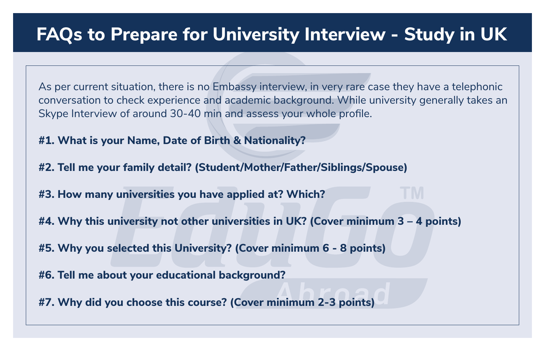## **FAQs to Prepare for University Interview - Study in UK**

As per current situation, there is no Embassy interview, in very rare case they have a telephonic conversation to check experience and academic background. While university generally takes an Skype Interview of around 30-40 min and assess your whole profile.

**#1. What is your Name, Date of Birth & Nationality?**

**#2. Tell me your family detail? (Student/Mother/Father/Siblings/Spouse)**

**#3. How many universities you have applied at? Which?**

**#4. Why this university not other universities in UK? (Cover minimum 3 – 4 points)**

**#5. Why you selected this University? (Cover minimum 6 - 8 points)**

**#6. Tell me about your educational background?**

**#7. Why did you choose this course? (Cover minimum 2-3 points)**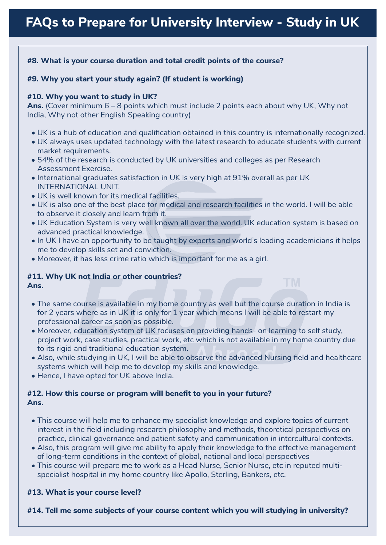#### **#8. What is your course duration and total credit points of the course?**

#### **#9. Why you start your study again? (If student is working)**

#### **#10. Why you want to study in UK?**

**Ans.** (Cover minimum 6 – 8 points which must include 2 points each about why UK, Why not India, Why not other English Speaking country)

- UK is a hub of education and qualification obtained in this country is internationally recognized.
- UK always uses updated technology with the latest research to educate students with current market requirements.
- 54% of the research is conducted by UK universities and colleges as per Research Assessment Exercise.
- International graduates satisfaction in UK is very high at 91% overall as per UK INTERNATIONAL UNIT.
- UK is well known for its medical facilities.
- UK is also one of the best place for medical and research facilities in the world. I will be able to observe it closely and learn from it.
- UK Education System is very well known all over the world. UK education system is based on advanced practical knowledge.
- In UK I have an opportunity to be taught by experts and world's leading academicians it helps me to develop skills set and conviction.
- Moreover, it has less crime ratio which is important for me as a girl.

### **#11. Why UK not India or other countries?**

- **Ans.**
	- The same course is available in my home country as well but the course duration in India is for 2 years where as in UK it is only for 1 year which means I will be able to restart my professional career as soon as possible.
	- Moreover, education system of UK focuses on providing hands- on learning to self study, project work, case studies, practical work, etc which is not available in my home country due to its rigid and traditional education system.
	- Also, while studying in UK, I will be able to observe the advanced Nursing field and healthcare systems which will help me to develop my skills and knowledge.
	- Hence, I have opted for UK above India.

#### **#12. How this course or program will benefit to you in your future? Ans.**

- This course will help me to enhance my specialist knowledge and explore topics of current interest in the field including research philosophy and methods, theoretical perspectives on practice, clinical governance and patient safety and communication in intercultural contexts.
- Also, this program will give me ability to apply their knowledge to the effective management of long-term conditions in the context of global, national and local perspectives
- This course will prepare me to work as a Head Nurse, Senior Nurse, etc in reputed multi specialist hospital in my home country like Apollo, Sterling, Bankers, etc.

#### **#13. What is your course level?**

**#14. Tell me some subjects of your course content which you will studying in university?**